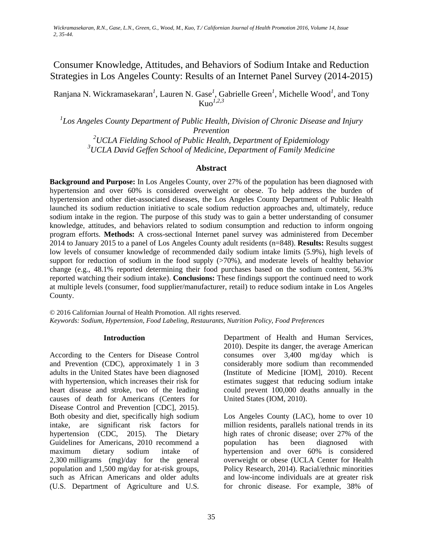Consumer Knowledge, Attitudes, and Behaviors of Sodium Intake and Reduction Strategies in Los Angeles County: Results of an Internet Panel Survey (2014-2015)

Ranjana N. Wickramasekaran*<sup>1</sup>* , Lauren N. Gase*<sup>1</sup>* , Gabrielle Green*<sup>1</sup>* , Michelle Wood*<sup>1</sup>* , and Tony Kuo*1,2,3*

*1 Los Angeles County Department of Public Health, Division of Chronic Disease and Injury Prevention 2 UCLA Fielding School of Public Health, Department of Epidemiology*

*3 UCLA David Geffen School of Medicine, Department of Family Medicine*

## **Abstract**

**Background and Purpose:** In Los Angeles County, over 27% of the population has been diagnosed with hypertension and over 60% is considered overweight or obese. To help address the burden of hypertension and other diet-associated diseases, the Los Angeles County Department of Public Health launched its sodium reduction initiative to scale sodium reduction approaches and, ultimately, reduce sodium intake in the region. The purpose of this study was to gain a better understanding of consumer knowledge, attitudes, and behaviors related to sodium consumption and reduction to inform ongoing program efforts. **Methods:** A cross-sectional Internet panel survey was administered from December 2014 to January 2015 to a panel of Los Angeles County adult residents (n=848). **Results:** Results suggest low levels of consumer knowledge of recommended daily sodium intake limits (5.9%), high levels of support for reduction of sodium in the food supply  $($ >70%), and moderate levels of healthy behavior change (e.g., 48.1% reported determining their food purchases based on the sodium content, 56.3% reported watching their sodium intake). **Conclusions:** These findings support the continued need to work at multiple levels (consumer, food supplier/manufacturer, retail) to reduce sodium intake in Los Angeles County.

© 2016 Californian Journal of Health Promotion. All rights reserved. *Keywords: Sodium, Hypertension, Food Labeling, Restaurants, Nutrition Policy, Food Preferences*

### **Introduction**

According to the Centers for Disease Control and Prevention (CDC), approximately 1 in 3 adults in the United States have been diagnosed with hypertension, which increases their risk for heart disease and stroke, two of the leading causes of death for Americans (Centers for Disease Control and Prevention [CDC], 2015). Both obesity and diet, specifically high sodium intake, are significant risk factors for hypertension (CDC, 2015). The Dietary Guidelines for Americans, 2010 recommend a maximum dietary sodium intake of 2,300 milligrams (mg)/day for the general population and 1,500 mg/day for at-risk groups, such as African Americans and older adults (U.S. Department of Agriculture and U.S.

Department of Health and Human Services, 2010). Despite its danger, the average American consumes over 3,400 mg/day which is considerably more sodium than recommended (Institute of Medicine [IOM], 2010). Recent estimates suggest that reducing sodium intake could prevent 100,000 deaths annually in the United States (IOM, 2010).

Los Angeles County (LAC), home to over 10 million residents, parallels national trends in its high rates of chronic disease; over 27% of the population has been diagnosed with hypertension and over 60% is considered overweight or obese (UCLA Center for Health Policy Research, 2014). Racial/ethnic minorities and low-income individuals are at greater risk for chronic disease. For example, 38% of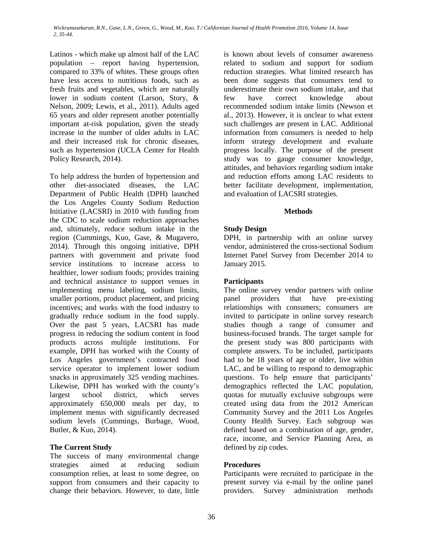Latinos - which make up almost half of the LAC population – report having hypertension, compared to 33% of whites. These groups often have less access to nutritious foods, such as fresh fruits and vegetables, which are naturally lower in sodium content (Larson, Story, & Nelson, 2009; Lewis, et al., 2011). Adults aged 65 years and older represent another potentially important at-risk population, given the steady increase in the number of older adults in LAC and their increased risk for chronic diseases, such as hypertension (UCLA Center for Health Policy Research, 2014).

To help address the burden of hypertension and other diet-associated diseases, the LAC Department of Public Health (DPH) launched the Los Angeles County Sodium Reduction Initiative (LACSRI) in 2010 with funding from the CDC to scale sodium reduction approaches and, ultimately, reduce sodium intake in the region (Cummings, Kuo, Gase, & Mugavero, 2014). Through this ongoing initiative, DPH partners with government and private food service institutions to increase access to healthier, lower sodium foods; provides training and technical assistance to support venues in implementing menu labeling, sodium limits, smaller portions, product placement, and pricing incentives; and works with the food industry to gradually reduce sodium in the food supply. Over the past 5 years, LACSRI has made progress in reducing the sodium content in food products across multiple institutions. For example, DPH has worked with the County of Los Angeles government's contracted food service operator to implement lower sodium snacks in approximately 325 vending machines. Likewise, DPH has worked with the county's largest school district, which serves approximately 650,000 meals per day, to implement menus with significantly decreased sodium levels (Cummings, Burbage, Wood, Butler, & Kuo, 2014).

# **The Current Study**

The success of many environmental change strategies aimed at reducing sodium consumption relies, at least to some degree, on support from consumers and their capacity to change their behaviors. However, to date, little is known about levels of consumer awareness related to sodium and support for sodium reduction strategies. What limited research has been done suggests that consumers tend to underestimate their own sodium intake, and that few have correct knowledge about recommended sodium intake limits (Newson et al., 2013). However, it is unclear to what extent such challenges are present in LAC. Additional information from consumers is needed to help inform strategy development and evaluate progress locally. The purpose of the present study was to gauge consumer knowledge, attitudes, and behaviors regarding sodium intake and reduction efforts among LAC residents to better facilitate development, implementation, and evaluation of LACSRI strategies.

# **Methods**

# **Study Design**

DPH, in partnership with an online survey vendor, administered the cross-sectional Sodium Internet Panel Survey from December 2014 to January 2015.

# **Participants**

The online survey vendor partners with online panel providers that have pre-existing relationships with consumers; consumers are invited to participate in online survey research studies though a range of consumer and business-focused brands. The target sample for the present study was 800 participants with complete answers. To be included, participants had to be 18 years of age or older, live within LAC, and be willing to respond to demographic questions. To help ensure that participants' demographics reflected the LAC population, quotas for mutually exclusive subgroups were created using data from the 2012 American Community Survey and the 2011 Los Angeles County Health Survey. Each subgroup was defined based on a combination of age, gender, race, income, and Service Planning Area, as defined by zip codes.

# **Procedures**

Participants were recruited to participate in the present survey via e-mail by the online panel providers. Survey administration methods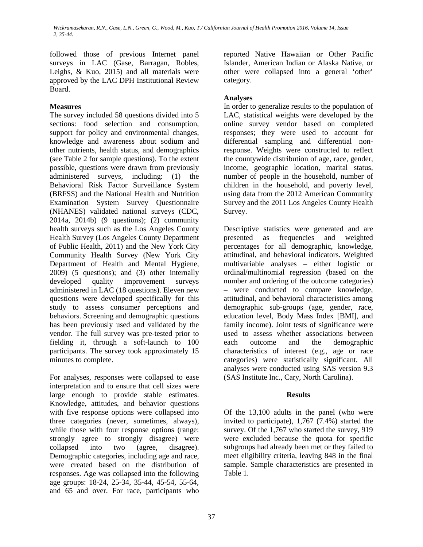followed those of previous Internet panel surveys in LAC (Gase, Barragan, Robles, Leighs, & Kuo, 2015) and all materials were approved by the LAC DPH Institutional Review Board.

# **Measures**

The survey included 58 questions divided into 5 sections: food selection and consumption, support for policy and environmental changes, knowledge and awareness about sodium and other nutrients, health status, and demographics (see Table 2 for sample questions). To the extent possible, questions were drawn from previously administered surveys, including: (1) the Behavioral Risk Factor Surveillance System (BRFSS) and the National Health and Nutrition Examination System Survey Questionnaire (NHANES) validated national surveys (CDC, 2014a, 2014b) (9 questions); (2) community health surveys such as the Los Angeles County Health Survey (Los Angeles County Department of Public Health, 2011) and the New York City Community Health Survey (New York City Department of Health and Mental Hygiene, 2009) (5 questions); and (3) other internally developed quality improvement surveys administered in LAC (18 questions). Eleven new questions were developed specifically for this study to assess consumer perceptions and behaviors. Screening and demographic questions has been previously used and validated by the vendor. The full survey was pre-tested prior to fielding it, through a soft-launch to 100 participants. The survey took approximately 15 minutes to complete.

For analyses, responses were collapsed to ease interpretation and to ensure that cell sizes were large enough to provide stable estimates. Knowledge, attitudes, and behavior questions with five response options were collapsed into three categories (never, sometimes, always), while those with four response options (range: strongly agree to strongly disagree) were collapsed into two (agree, disagree). Demographic categories, including age and race, were created based on the distribution of responses. Age was collapsed into the following age groups: 18-24, 25-34, 35-44, 45-54, 55-64, and 65 and over. For race, participants who

reported Native Hawaiian or Other Pacific Islander, American Indian or Alaska Native, or other were collapsed into a general 'other' category.

# **Analyses**

In order to generalize results to the population of LAC, statistical weights were developed by the online survey vendor based on completed responses; they were used to account for differential sampling and differential nonresponse. Weights were constructed to reflect the countywide distribution of age, race, gender, income, geographic location, marital status, number of people in the household, number of children in the household, and poverty level, using data from the 2012 American Community Survey and the 2011 Los Angeles County Health Survey.

Descriptive statistics were generated and are presented as frequencies and weighted percentages for all demographic, knowledge, attitudinal, and behavioral indicators. Weighted multivariable analyses – either logistic or ordinal/multinomial regression (based on the number and ordering of the outcome categories) – were conducted to compare knowledge, attitudinal, and behavioral characteristics among demographic sub-groups (age, gender, race, education level, Body Mass Index [BMI], and family income). Joint tests of significance were used to assess whether associations between each outcome and the demographic characteristics of interest (e.g., age or race categories) were statistically significant. All analyses were conducted using SAS version 9.3 (SAS Institute Inc., Cary, North Carolina).

# **Results**

Of the 13,100 adults in the panel (who were invited to participate), 1,767 (7.4%) started the survey. Of the 1,767 who started the survey, 919 were excluded because the quota for specific subgroups had already been met or they failed to meet eligibility criteria, leaving 848 in the final sample. Sample characteristics are presented in Table 1.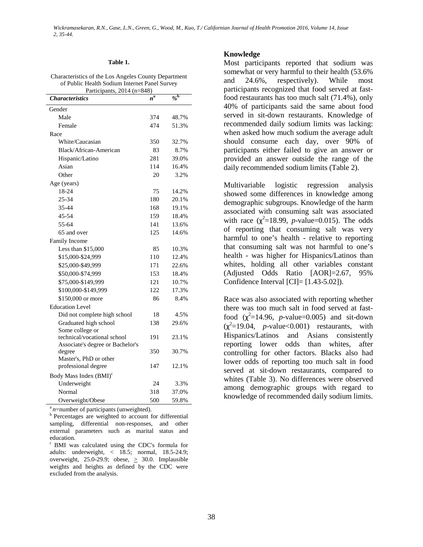### **Table 1.**

#### Characteristics of the Los Angeles County Department of Public Health Sodium Internet Panel Survey Participants, 2014 (n=848)

| <b>Characteristics</b>                        | $n^{\rm a}$ | $\frac{\partial}{\partial \rho}$ |  |  |  |  |  |
|-----------------------------------------------|-------------|----------------------------------|--|--|--|--|--|
| Gender                                        |             |                                  |  |  |  |  |  |
| Male                                          | 374         | 48.7%                            |  |  |  |  |  |
| Female                                        | 474         | 51.3%                            |  |  |  |  |  |
| Race                                          |             |                                  |  |  |  |  |  |
| White/Caucasian                               | 350         | 32.7%                            |  |  |  |  |  |
| Black/African-American                        | 83          | 8.7%                             |  |  |  |  |  |
| Hispanic/Latino                               | 281         | 39.0%                            |  |  |  |  |  |
| Asian                                         | 114         | 16.4%                            |  |  |  |  |  |
| Other                                         | 20          | 3.2%                             |  |  |  |  |  |
| Age (years)                                   |             |                                  |  |  |  |  |  |
| 18-24                                         | 75          | 14.2%                            |  |  |  |  |  |
| 25-34                                         | 180         | 20.1%                            |  |  |  |  |  |
| 35-44                                         | 168         | 19.1%                            |  |  |  |  |  |
| 45-54                                         | 159         | 18.4%                            |  |  |  |  |  |
| 55-64                                         | 141         | 13.6%                            |  |  |  |  |  |
| 65 and over                                   | 125         | 14.6%                            |  |  |  |  |  |
| Family Income                                 |             |                                  |  |  |  |  |  |
| Less than \$15,000                            | 85          | 10.3%                            |  |  |  |  |  |
| \$15,000-\$24,999                             | 110         | 12.4%                            |  |  |  |  |  |
| \$25,000-\$49,999                             | 171         | 22.6%                            |  |  |  |  |  |
| \$50,000-\$74,999                             | 153         | 18.4%                            |  |  |  |  |  |
| \$75,000-\$149,999                            | 121         | 10.7%                            |  |  |  |  |  |
| \$100,000-\$149,999                           | 122         | 17.3%                            |  |  |  |  |  |
| \$150,000 or more                             | 86          | 8.4%                             |  |  |  |  |  |
| <b>Education Level</b>                        |             |                                  |  |  |  |  |  |
| Did not complete high school                  | 18          | 4.5%                             |  |  |  |  |  |
| Graduated high school<br>Some college or      | 138         | 29.6%                            |  |  |  |  |  |
| technical/vocational school                   | 191         | 23.1%                            |  |  |  |  |  |
| Associate's degree or Bachelor's<br>degree    | 350         | 30.7%                            |  |  |  |  |  |
| Master's, PhD or other<br>professional degree | 147         | 12.1%                            |  |  |  |  |  |
| Body Mass Index (BMI) <sup>c</sup>            |             |                                  |  |  |  |  |  |
| Underweight                                   | 24          | 3.3%                             |  |  |  |  |  |
| Normal                                        | 318         | 37.0%                            |  |  |  |  |  |
| Overweight/Obese                              | 500         | 59.8%                            |  |  |  |  |  |

<sup>a</sup> *n*=number of participants (unweighted).<br><sup>b</sup> Percentages are weighted to account for differential sampling, differential non-responses, and other external parameters such as marital status and education.

c BMI was calculated using the CDC's formula for adults: underweight, < 18.5; normal, 18.5-24.9; overweight, 25.0-29.9; obese,  $\geq$  30.0. Implausible weights and heights as defined by the CDC were excluded from the analysis.

### **Knowledge**

Most participants reported that sodium was somewhat or very harmful to their health (53.6% and 24.6%, respectively). While most participants recognized that food served at fastfood restaurants has too much salt (71.4%), only 40% of participants said the same about food served in sit-down restaurants. Knowledge of recommended daily sodium limits was lacking: when asked how much sodium the average adult should consume each day, over 90% of participants either failed to give an answer or provided an answer outside the range of the daily recommended sodium limits (Table 2).

Multivariable logistic regression analysis showed some differences in knowledge among demographic subgroups. Knowledge of the harm associated with consuming salt was associated with race  $(\chi^2 = 18.99, p-value = 0.015)$ . The odds of reporting that consuming salt was very harmful to one's health - relative to reporting that consuming salt was not harmful to one's health - was higher for Hispanics/Latinos than whites, holding all other variables constant (Adjusted Odds Ratio [AOR]=2.67, 95% Confidence Interval [CI]= [1.43-5.02]).

Race was also associated with reporting whether there was too much salt in food served at fastfood  $(\chi^2=14.96, p-value=0.005)$  and sit-down  $(\chi^2=19.04, p-value<0.001)$  restaurants, with Hispanics/Latinos and Asians consistently reporting lower odds than whites, after controlling for other factors. Blacks also had lower odds of reporting too much salt in food served at sit-down restaurants, compared to whites (Table 3). No differences were observed among demographic groups with regard to knowledge of recommended daily sodium limits.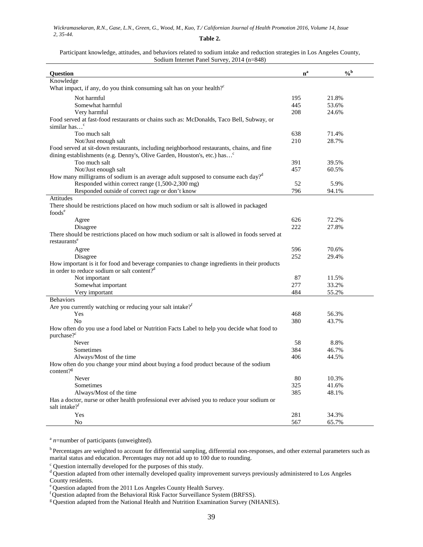### Participant knowledge, attitudes, and behaviors related to sodium intake and reduction strategies in Los Angeles County, Sodium Internet Panel Survey, 2014 (n=848)

| Question                                                                                                             | $n^a$ | $\frac{6}{6}$ |
|----------------------------------------------------------------------------------------------------------------------|-------|---------------|
| Knowledge                                                                                                            |       |               |
| What impact, if any, do you think consuming salt has on your health? <sup>c</sup>                                    |       |               |
| Not harmful                                                                                                          | 195   | 21.8%         |
| Somewhat harmful                                                                                                     | 445   | 53.6%         |
| Very harmful                                                                                                         | 208   | 24.6%         |
| Food served at fast-food restaurants or chains such as: McDonalds, Taco Bell, Subway, or                             |       |               |
| similar has <sup>c</sup>                                                                                             |       |               |
| Too much salt                                                                                                        | 638   | 71.4%         |
| Not/Just enough salt                                                                                                 | 210   | 28.7%         |
| Food served at sit-down restaurants, including neighborhood restaurants, chains, and fine                            |       |               |
| dining establishments (e.g. Denny's, Olive Garden, Houston's, etc.) has <sup>c</sup>                                 |       |               |
| Too much salt                                                                                                        | 391   | 39.5%         |
| Not/Just enough salt                                                                                                 | 457   | 60.5%         |
| How many milligrams of sodium is an average adult supposed to consume each day? <sup>d</sup>                         |       |               |
| Responded within correct range (1,500-2,300 mg)                                                                      | 52    | 5.9%          |
| Responded outside of correct rage or don't know                                                                      | 796   | 94.1%         |
| Attitudes                                                                                                            |       |               |
| There should be restrictions placed on how much sodium or salt is allowed in packaged                                |       |               |
| foods <sup>e</sup>                                                                                                   |       |               |
| Agree                                                                                                                | 626   | 72.2%         |
| Disagree                                                                                                             | 222   | 27.8%         |
| There should be restrictions placed on how much sodium or salt is allowed in foods served at                         |       |               |
| restaurants <sup>e</sup>                                                                                             |       |               |
| Agree                                                                                                                | 596   | 70.6%         |
| Disagree                                                                                                             | 252   | 29.4%         |
| How important is it for food and beverage companies to change ingredients in their products                          |       |               |
| in order to reduce sodium or salt content? <sup>d</sup>                                                              |       |               |
| Not important                                                                                                        | 87    | 11.5%         |
| Somewhat important                                                                                                   | 277   | 33.2%         |
| Very important                                                                                                       | 484   | 55.2%         |
| <b>Behaviors</b>                                                                                                     |       |               |
| Are you currently watching or reducing your salt intake? <sup><i>f</i></sup>                                         |       |               |
| Yes                                                                                                                  | 468   | 56.3%         |
| N <sub>0</sub>                                                                                                       | 380   | 43.7%         |
| How often do you use a food label or Nutrition Facts Label to help you decide what food to<br>purchase? <sup>c</sup> |       |               |
| Never                                                                                                                | 58    | 8.8%          |
| Sometimes                                                                                                            | 384   | 46.7%         |
| Always/Most of the time                                                                                              | 406   | 44.5%         |
| How often do you change your mind about buying a food product because of the sodium                                  |       |               |
| content? <sup>g</sup>                                                                                                |       |               |
| Never                                                                                                                | 80    | 10.3%         |
| Sometimes                                                                                                            | 325   | 41.6%         |
| Always/Most of the time                                                                                              | 385   | 48.1%         |
| Has a doctor, nurse or other health professional ever advised you to reduce your sodium or                           |       |               |
| salt intake? <sup>f</sup>                                                                                            |       |               |
| Yes                                                                                                                  | 281   | 34.3%         |
| No                                                                                                                   | 567   | 65.7%         |

<sup>a</sup> *n*=number of participants (unweighted).

<sup>b</sup> Percentages are weighted to account for differential sampling, differential non-responses, and other external parameters such as marital status and education. Percentages may not add up to 100 due to rounding.

 $\degree$  Question internally developed for the purposes of this study.

d Question adapted from other internally developed quality improvement surveys previously administered to Los Angeles County residents.

e Question adapted from the 2011 Los Angeles County Health Survey.

f Question adapted from the Behavioral Risk Factor Surveillance System (BRFSS).

<sup>&</sup>lt;sup>g</sup> Question adapted from the National Health and Nutrition Examination Survey (NHANES).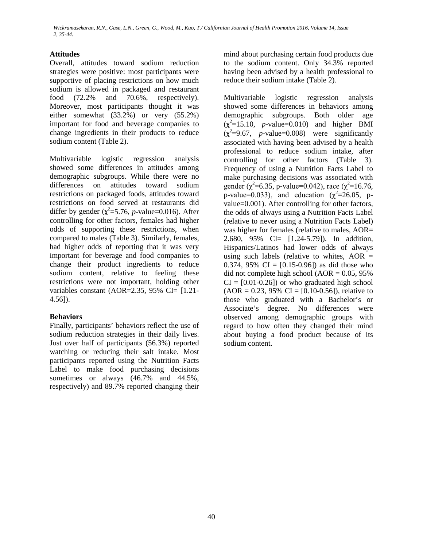# **Attitudes**

Overall, attitudes toward sodium reduction strategies were positive: most participants were supportive of placing restrictions on how much sodium is allowed in packaged and restaurant food (72.2% and 70.6%, respectively). Moreover, most participants thought it was either somewhat (33.2%) or very (55.2%) important for food and beverage companies to change ingredients in their products to reduce sodium content (Table 2).

Multivariable logistic regression analysis showed some differences in attitudes among demographic subgroups. While there were no differences on attitudes toward sodium restrictions on packaged foods, attitudes toward restrictions on food served at restaurants did differ by gender  $(\chi^2 = 5.76, p$ -value=0.016). After controlling for other factors, females had higher odds of supporting these restrictions, when compared to males (Table 3). Similarly, females, had higher odds of reporting that it was very important for beverage and food companies to change their product ingredients to reduce sodium content, relative to feeling these restrictions were not important, holding other variables constant (AOR=2.35, 95% CI=  $[1.21-$ 4.56]).

# **Behaviors**

Finally, participants' behaviors reflect the use of sodium reduction strategies in their daily lives. Just over half of participants (56.3%) reported watching or reducing their salt intake. Most participants reported using the Nutrition Facts Label to make food purchasing decisions sometimes or always  $(46.7\%$  and  $44.5\%$ , respectively) and 89.7% reported changing their

mind about purchasing certain food products due to the sodium content. Only 34.3% reported having been advised by a health professional to reduce their sodium intake (Table 2).

Multivariable logistic regression analysis showed some differences in behaviors among demographic subgroups. Both older age  $(\chi^2=15.10, p-value=0.010)$  and higher BMI  $(\chi^2=9.67, p-value=0.008)$  were significantly associated with having been advised by a health professional to reduce sodium intake, after controlling for other factors (Table 3). Frequency of using a Nutrition Facts Label to make purchasing decisions was associated with gender ( $\chi^2$ =6.35, p-value=0.042), race ( $\chi^2$ =16.76, p-value=0.033), and education  $(\chi^2=26.05, \text{ p}$ value=0.001). After controlling for other factors, the odds of always using a Nutrition Facts Label (relative to never using a Nutrition Facts Label) was higher for females (relative to males, AOR= 2.680, 95% CI= [1.24-5.79]). In addition, Hispanics/Latinos had lower odds of always using such labels (relative to whites,  $AOR =$ 0.374, 95% CI =  $[0.15{\text -}0.96]$  as did those who did not complete high school ( $AOR = 0.05$ , 95%)  $CI = [0.01 - 0.26]$  or who graduated high school  $(AOR = 0.23, 95\% \text{ CI} = [0.10-0.56]),$  relative to those who graduated with a Bachelor's or Associate's degree. No differences were observed among demographic groups with regard to how often they changed their mind about buying a food product because of its sodium content.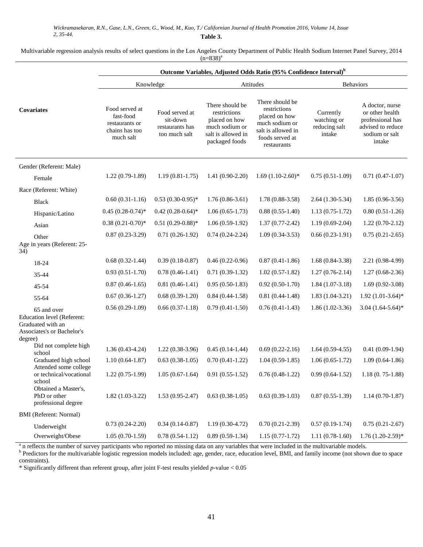### Multivariable regression analysis results of select questions in the Los Angeles County Department of Public Health Sodium Internet Panel Survey, 2014  $(n=838)^{a}$

|                                                                                              | Outcome Variables, Adjusted Odds Ratio (95% Confidence Interval) <sup>b</sup> |                                                                |                                                                                                            |                                                                                                                            |                                                     |                                                                                                         |
|----------------------------------------------------------------------------------------------|-------------------------------------------------------------------------------|----------------------------------------------------------------|------------------------------------------------------------------------------------------------------------|----------------------------------------------------------------------------------------------------------------------------|-----------------------------------------------------|---------------------------------------------------------------------------------------------------------|
|                                                                                              |                                                                               | Knowledge                                                      | Attitudes                                                                                                  |                                                                                                                            | <b>Behaviors</b>                                    |                                                                                                         |
| Covariates                                                                                   | Food served at<br>fast-food<br>restaurants or<br>chains has too<br>much salt  | Food served at<br>sit-down<br>restaurants has<br>too much salt | There should be<br>restrictions<br>placed on how<br>much sodium or<br>salt is allowed in<br>packaged foods | There should be<br>restrictions<br>placed on how<br>much sodium or<br>salt is allowed in<br>foods served at<br>restaurants | Currently<br>watching or<br>reducing salt<br>intake | A doctor, nurse<br>or other health<br>professional has<br>advised to reduce<br>sodium or salt<br>intake |
| Gender (Referent: Male)                                                                      |                                                                               |                                                                |                                                                                                            |                                                                                                                            |                                                     |                                                                                                         |
| Female                                                                                       | $1.22(0.79-1.89)$                                                             | $1.19(0.81-1.75)$                                              | $1.41(0.90-2.20)$                                                                                          | $1.69(1.10-2.60)*$                                                                                                         | $0.75(0.51-1.09)$                                   | $0.71(0.47-1.07)$                                                                                       |
| Race (Referent: White)                                                                       |                                                                               |                                                                |                                                                                                            |                                                                                                                            |                                                     |                                                                                                         |
| <b>Black</b>                                                                                 | $0.60(0.31-1.16)$                                                             | $0.53(0.30-0.95)$ *                                            | $1.76(0.86-3.61)$                                                                                          | $1.78(0.88-3.58)$                                                                                                          | $2.64(1.30-5.34)$                                   | $1.85(0.96-3.56)$                                                                                       |
| Hispanic/Latino                                                                              | $0.45(0.28-0.74)$ *                                                           | $0.42(0.28-0.64)$ *                                            | $1.06(0.65-1.73)$                                                                                          | $0.88(0.55-1.40)$                                                                                                          | $1.13(0.75-1.72)$                                   | $0.80(0.51-1.26)$                                                                                       |
| Asian                                                                                        | $0.38(0.21-0.70)*$                                                            | $0.51(0.29-0.88)$ *                                            | $1.06(0.59-1.92)$                                                                                          | $1.37(0.77-2.42)$                                                                                                          | $1.19(0.69-2.04)$                                   | $1.22(0.70-2.12)$                                                                                       |
| Other<br>Age in years (Referent: 25-<br>34)                                                  | $0.87(0.23-3.29)$                                                             | $0.71(0.26-1.92)$                                              | $0.74(0.24-2.24)$                                                                                          | $1.09(0.34-3.53)$                                                                                                          | $0.66(0.23-1.91)$                                   | $0.75(0.21-2.65)$                                                                                       |
| 18-24                                                                                        | $0.68(0.32-1.44)$                                                             | $0.39(0.18-0.87)$                                              | $0.46(0.22-0.96)$                                                                                          | $0.87(0.41-1.86)$                                                                                                          | $1.68(0.84-3.38)$                                   | 2.21 (0.98-4.99)                                                                                        |
| 35-44                                                                                        | $0.93(0.51-1.70)$                                                             | $0.78(0.46-1.41)$                                              | $0.71(0.39-1.32)$                                                                                          | $1.02(0.57-1.82)$                                                                                                          | $1.27(0.76-2.14)$                                   | $1.27(0.68-2.36)$                                                                                       |
| 45-54                                                                                        | $0.87(0.46-1.65)$                                                             | $0.81(0.46-1.41)$                                              | $0.95(0.50-1.83)$                                                                                          | $0.92(0.50-1.70)$                                                                                                          | $1.84(1.07-3.18)$                                   | $1.69(0.92-3.08)$                                                                                       |
| 55-64                                                                                        | $0.67(0.36-1.27)$                                                             | $0.68(0.39-1.20)$                                              | $0.84(0.44-1.58)$                                                                                          | $0.81(0.44-1.48)$                                                                                                          | $1.83(1.04-3.21)$                                   | $1.92(1.01-3.64)*$                                                                                      |
| 65 and over<br>Education level (Referent:<br>Graduated with an<br>Associates's or Bachelor's | $0.56(0.29-1.09)$                                                             | $0.66(0.37-1.18)$                                              | $0.79(0.41-1.50)$                                                                                          | $0.76(0.41-1.43)$                                                                                                          | $1.86(1.02-3.36)$                                   | $3.04(1.64-5.64)*$                                                                                      |
| degree)<br>Did not complete high                                                             | $1.36(0.43-4.24)$                                                             | $1.22(0.38-3.96)$                                              | $0.45(0.14-1.44)$                                                                                          | $0.69(0.22-2.16)$                                                                                                          | $1.64(0.59-4.55)$                                   | $0.41(0.09-1.94)$                                                                                       |
| school<br>Graduated high school                                                              | $1.10(0.64-1.87)$                                                             | $0.63(0.38-1.05)$                                              | $0.70(0.41-1.22)$                                                                                          | $1.04(0.59-1.85)$                                                                                                          | $1.06(0.65-1.72)$                                   | $1.09(0.64-1.86)$                                                                                       |
| Attended some college<br>or technical/vocational<br>school                                   | $1.22(0.75-1.99)$                                                             | $1.05(0.67-1.64)$                                              | $0.91(0.55-1.52)$                                                                                          | $0.76(0.48-1.22)$                                                                                                          | $0.99(0.64-1.52)$                                   | $1.18(0.75-1.88)$                                                                                       |
| Obtained a Master's,<br>PhD or other<br>professional degree                                  | $1.82(1.03-3.22)$                                                             | $1.53(0.95-2.47)$                                              | $0.63(0.38-1.05)$                                                                                          | $0.63(0.39-1.03)$                                                                                                          | $0.87(0.55-1.39)$                                   | $1.14(0.70-1.87)$                                                                                       |
| <b>BMI</b> (Referent: Normal)                                                                |                                                                               |                                                                |                                                                                                            |                                                                                                                            |                                                     |                                                                                                         |
| Underweight                                                                                  | $0.73(0.24-2.20)$                                                             | $0.34(0.14-0.87)$                                              | $1.19(0.30-4.72)$                                                                                          | $0.70(0.21-2.39)$                                                                                                          | $0.57(0.19-1.74)$                                   | $0.75(0.21-2.67)$                                                                                       |
| Overweight/Obese                                                                             | $1.05(0.70-1.59)$                                                             | $0.78(0.54-1.12)$                                              | $0.89(0.59-1.34)$                                                                                          | $1.15(0.77-1.72)$                                                                                                          | $1.11(0.78-1.60)$                                   | $1.76(1.20-2.59)*$                                                                                      |

 $\alpha$  n reflects the number of survey participants who reported no missing data on any variables that were included in the multivariable models.<br><sup>b</sup> Predictors for the multivariable logistic regression models included: age constraints).

\* Significantly different than referent group, after joint F-test results yielded *p-*value < 0.05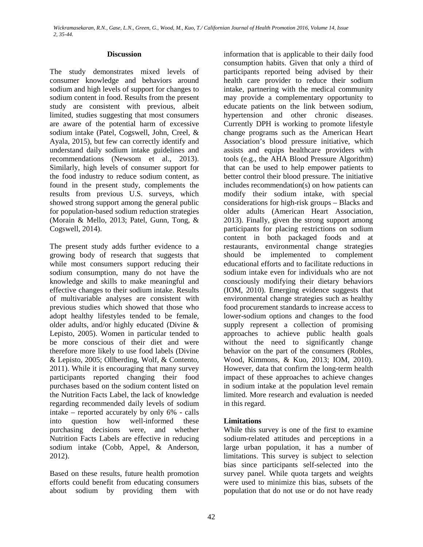## **Discussion**

The study demonstrates mixed levels of consumer knowledge and behaviors around sodium and high levels of support for changes to sodium content in food. Results from the present study are consistent with previous, albeit limited, studies suggesting that most consumers are aware of the potential harm of excessive sodium intake (Patel, Cogswell, John, Creel, & Ayala, 2015), but few can correctly identify and understand daily sodium intake guidelines and recommendations (Newsom et al., 2013). Similarly, high levels of consumer support for the food industry to reduce sodium content, as found in the present study, complements the results from previous U.S. surveys, which showed strong support among the general public for population-based sodium reduction strategies (Morain & Mello, 2013; Patel, Gunn, Tong, & Cogswell, 2014).

The present study adds further evidence to a growing body of research that suggests that while most consumers support reducing their sodium consumption, many do not have the knowledge and skills to make meaningful and effective changes to their sodium intake. Results of multivariable analyses are consistent with previous studies which showed that those who adopt healthy lifestyles tended to be female, older adults, and/or highly educated (Divine & Lepisto, 2005). Women in particular tended to be more conscious of their diet and were therefore more likely to use food labels (Divine & Lepisto, 2005; Ollberding, Wolf, & Contento, 2011). While it is encouraging that many survey participants reported changing their food purchases based on the sodium content listed on the Nutrition Facts Label, the lack of knowledge regarding recommended daily levels of sodium intake – reported accurately by only 6% - calls into question how well-informed these purchasing decisions were, and whether Nutrition Facts Labels are effective in reducing sodium intake (Cobb, Appel, & Anderson, 2012).

Based on these results, future health promotion efforts could benefit from educating consumers about sodium by providing them with

information that is applicable to their daily food consumption habits. Given that only a third of participants reported being advised by their health care provider to reduce their sodium intake, partnering with the medical community may provide a complementary opportunity to educate patients on the link between sodium, hypertension and other chronic diseases. Currently DPH is working to promote lifestyle change programs such as the American Heart Association's blood pressure initiative, which assists and equips healthcare providers with tools (e.g., the AHA Blood Pressure Algorithm) that can be used to help empower patients to better control their blood pressure. The initiative includes recommendation(s) on how patients can modify their sodium intake, with special considerations for high-risk groups – Blacks and older adults (American Heart Association, 2013). Finally, given the strong support among participants for placing restrictions on sodium content in both packaged foods and at restaurants, environmental change strategies should be implemented to complement educational efforts and to facilitate reductions in sodium intake even for individuals who are not consciously modifying their dietary behaviors (IOM, 2010). Emerging evidence suggests that environmental change strategies such as healthy food procurement standards to increase access to lower-sodium options and changes to the food supply represent a collection of promising approaches to achieve public health goals without the need to significantly change behavior on the part of the consumers (Robles, Wood, Kimmons, & Kuo, 2013; IOM, 2010). However, data that confirm the long-term health impact of these approaches to achieve changes in sodium intake at the population level remain limited. More research and evaluation is needed in this regard.

# **Limitations**

While this survey is one of the first to examine sodium-related attitudes and perceptions in a large urban population, it has a number of limitations. This survey is subject to selection bias since participants self-selected into the survey panel. While quota targets and weights were used to minimize this bias, subsets of the population that do not use or do not have ready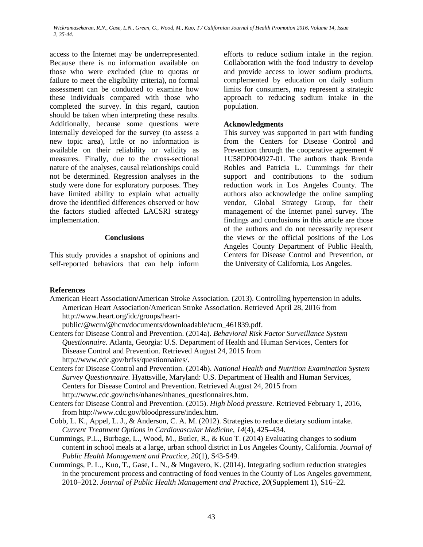access to the Internet may be underrepresented. Because there is no information available on those who were excluded (due to quotas or failure to meet the eligibility criteria), no formal assessment can be conducted to examine how these individuals compared with those who completed the survey. In this regard, caution should be taken when interpreting these results. Additionally, because some questions were internally developed for the survey (to assess a new topic area), little or no information is available on their reliability or validity as measures. Finally, due to the cross-sectional nature of the analyses, causal relationships could not be determined. Regression analyses in the study were done for exploratory purposes. They have limited ability to explain what actually drove the identified differences observed or how the factors studied affected LACSRI strategy implementation.

## **Conclusions**

This study provides a snapshot of opinions and self-reported behaviors that can help inform

efforts to reduce sodium intake in the region. Collaboration with the food industry to develop and provide access to lower sodium products, complemented by education on daily sodium limits for consumers, may represent a strategic approach to reducing sodium intake in the population.

### **Acknowledgments**

This survey was supported in part with funding from the Centers for Disease Control and Prevention through the cooperative agreement # 1U58DP004927-01. The authors thank Brenda Robles and Patricia L. Cummings for their support and contributions to the sodium reduction work in Los Angeles County. The authors also acknowledge the online sampling vendor, Global Strategy Group, for their management of the Internet panel survey. The findings and conclusions in this article are those of the authors and do not necessarily represent the views or the official positions of the Los Angeles County Department of Public Health, Centers for Disease Control and Prevention, or the University of California, Los Angeles.

### **References**

American Heart Association/American Stroke Association. (2013). Controlling hypertension in adults. American Heart Association/American Stroke Association. Retrieved April 28, 2016 from http://www.heart.org/idc/groups/heart-

public/@wcm/@hcm/documents/downloadable/ucm\_461839.pdf.

- Centers for Disease Control and Prevention. (2014a). *Behavioral Risk Factor Surveillance System Questionnaire.* Atlanta, Georgia: U.S. Department of Health and Human Services, Centers for Disease Control and Prevention. Retrieved August 24, 2015 from http://www.cdc.gov/brfss/questionnaires/.
- Centers for Disease Control and Prevention. (2014b). *National Health and Nutrition Examination System Survey Questionnaire.* Hyattsville, Maryland: U.S. Department of Health and Human Services, Centers for Disease Control and Prevention. Retrieved August 24, 2015 from http://www.cdc.gov/nchs/nhanes/nhanes\_questionnaires.htm.
- Centers for Disease Control and Prevention. (2015). *High blood pressure.* Retrieved February 1, 2016, from http://www.cdc.gov/bloodpressure/index.htm.
- Cobb, L. K., Appel, L. J., & Anderson, C. A. M. (2012). Strategies to reduce dietary sodium intake. *Current Treatment Options in Cardiovascular Medicine*, *14*(4), 425–434.
- Cummings, P.L., Burbage, L., Wood, M., Butler, R., & Kuo T. (2014) Evaluating changes to sodium content in school meals at a large, urban school district in Los Angeles County, California. *Journal of Public Health Management and Practice*, *20*(1), S43-S49.
- Cummings, P. L., Kuo, T., Gase, L. N., & Mugavero, K. (2014). Integrating sodium reduction strategies in the procurement process and contracting of food venues in the County of Los Angeles government, 2010–2012. *Journal of Public Health Management and Practice*, *20*(Supplement 1), S16–22.